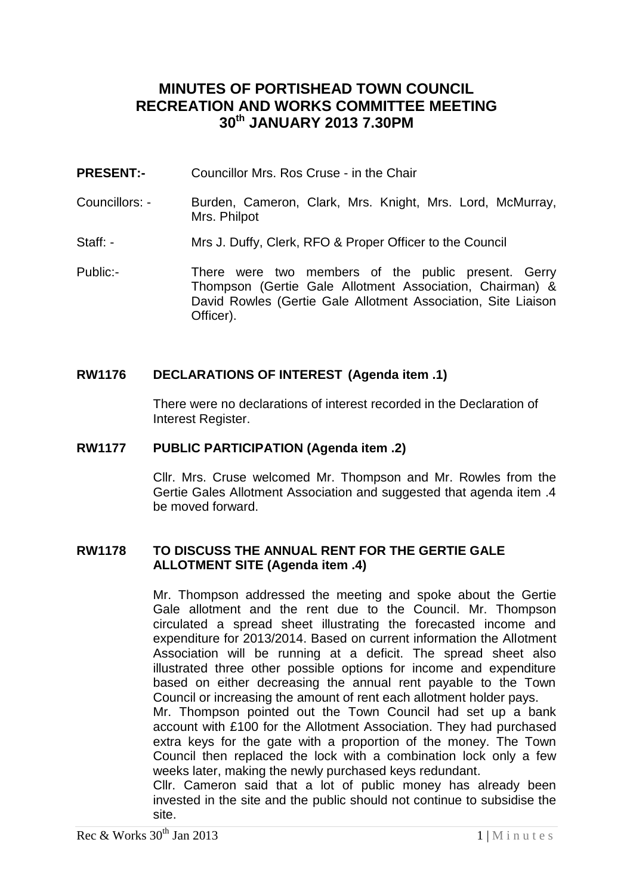# **MINUTES OF PORTISHEAD TOWN COUNCIL RECREATION AND WORKS COMMITTEE MEETING 30th JANUARY 2013 7.30PM**

- **PRESENT:-** Councillor Mrs. Ros Cruse in the Chair
- Councillors: Burden, Cameron, Clark, Mrs. Knight, Mrs. Lord, McMurray, Mrs. Philpot
- Staff: Mrs J. Duffy, Clerk, RFO & Proper Officer to the Council
- Public:- There were two members of the public present. Gerry Thompson (Gertie Gale Allotment Association, Chairman) & David Rowles (Gertie Gale Allotment Association, Site Liaison Officer).

# **RW1176 DECLARATIONS OF INTEREST (Agenda item .1)**

There were no declarations of interest recorded in the Declaration of Interest Register.

## **RW1177 PUBLIC PARTICIPATION (Agenda item .2)**

Cllr. Mrs. Cruse welcomed Mr. Thompson and Mr. Rowles from the Gertie Gales Allotment Association and suggested that agenda item .4 be moved forward.

### **RW1178 TO DISCUSS THE ANNUAL RENT FOR THE GERTIE GALE ALLOTMENT SITE (Agenda item .4)**

Mr. Thompson addressed the meeting and spoke about the Gertie Gale allotment and the rent due to the Council. Mr. Thompson circulated a spread sheet illustrating the forecasted income and expenditure for 2013/2014. Based on current information the Allotment Association will be running at a deficit. The spread sheet also illustrated three other possible options for income and expenditure based on either decreasing the annual rent payable to the Town Council or increasing the amount of rent each allotment holder pays.

Mr. Thompson pointed out the Town Council had set up a bank account with £100 for the Allotment Association. They had purchased extra keys for the gate with a proportion of the money. The Town Council then replaced the lock with a combination lock only a few weeks later, making the newly purchased keys redundant.

Cllr. Cameron said that a lot of public money has already been invested in the site and the public should not continue to subsidise the site.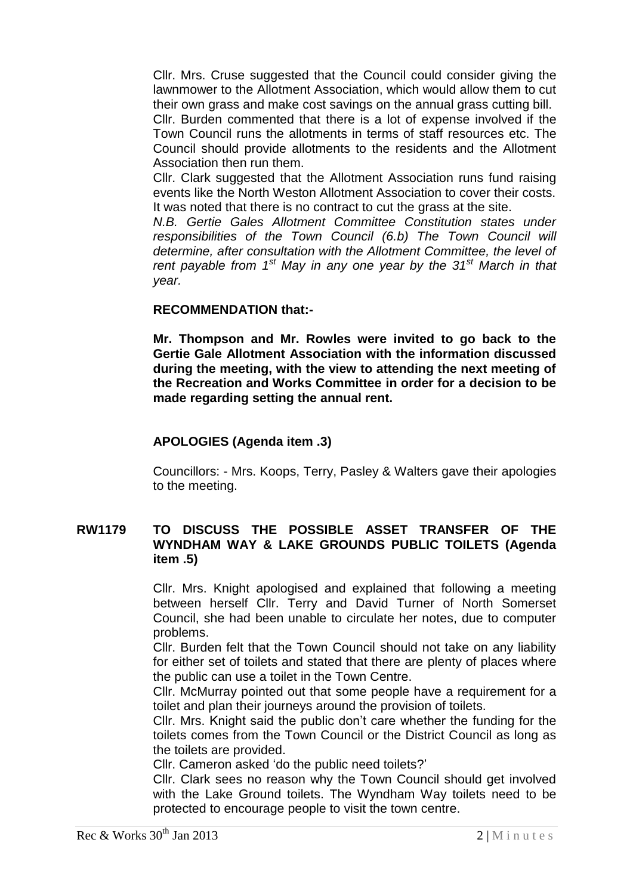Cllr. Mrs. Cruse suggested that the Council could consider giving the lawnmower to the Allotment Association, which would allow them to cut their own grass and make cost savings on the annual grass cutting bill.

Cllr. Burden commented that there is a lot of expense involved if the Town Council runs the allotments in terms of staff resources etc. The Council should provide allotments to the residents and the Allotment Association then run them.

Cllr. Clark suggested that the Allotment Association runs fund raising events like the North Weston Allotment Association to cover their costs. It was noted that there is no contract to cut the grass at the site.

*N.B. Gertie Gales Allotment Committee Constitution states under responsibilities of the Town Council (6.b) The Town Council will determine, after consultation with the Allotment Committee, the level of rent payable from 1st May in any one year by the 31st March in that year.*

# **RECOMMENDATION that:-**

**Mr. Thompson and Mr. Rowles were invited to go back to the Gertie Gale Allotment Association with the information discussed during the meeting, with the view to attending the next meeting of the Recreation and Works Committee in order for a decision to be made regarding setting the annual rent.**

# **APOLOGIES (Agenda item .3)**

Councillors: - Mrs. Koops, Terry, Pasley & Walters gave their apologies to the meeting.

# **RW1179 TO DISCUSS THE POSSIBLE ASSET TRANSFER OF THE WYNDHAM WAY & LAKE GROUNDS PUBLIC TOILETS (Agenda item .5)**

Cllr. Mrs. Knight apologised and explained that following a meeting between herself Cllr. Terry and David Turner of North Somerset Council, she had been unable to circulate her notes, due to computer problems.

Cllr. Burden felt that the Town Council should not take on any liability for either set of toilets and stated that there are plenty of places where the public can use a toilet in the Town Centre.

Cllr. McMurray pointed out that some people have a requirement for a toilet and plan their journeys around the provision of toilets.

Cllr. Mrs. Knight said the public don't care whether the funding for the toilets comes from the Town Council or the District Council as long as the toilets are provided.

Cllr. Cameron asked 'do the public need toilets?'

Cllr. Clark sees no reason why the Town Council should get involved with the Lake Ground toilets. The Wyndham Way toilets need to be protected to encourage people to visit the town centre.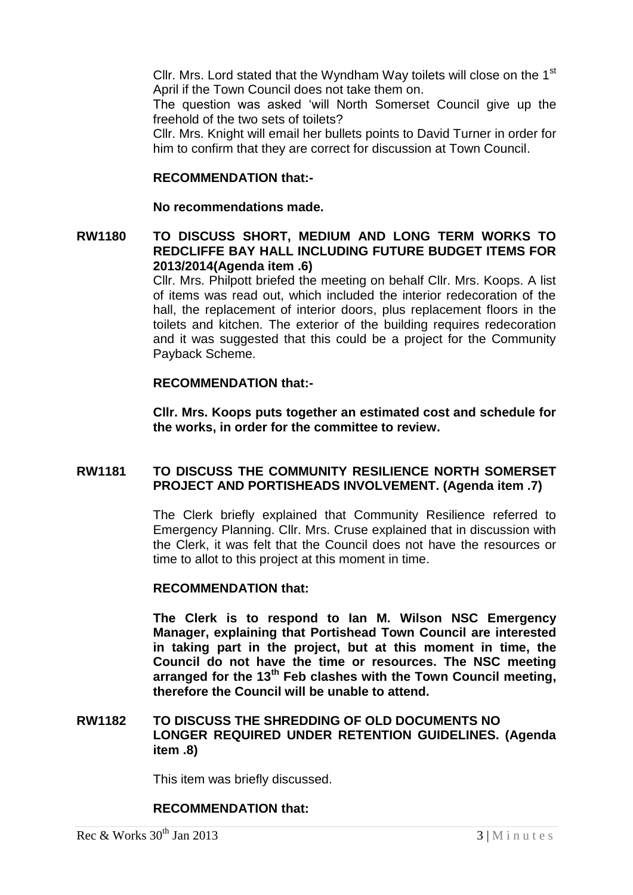Cllr. Mrs. Lord stated that the Wyndham Way toilets will close on the 1<sup>st</sup> April if the Town Council does not take them on.

The question was asked 'will North Somerset Council give up the freehold of the two sets of toilets?

Cllr. Mrs. Knight will email her bullets points to David Turner in order for him to confirm that they are correct for discussion at Town Council.

#### **RECOMMENDATION that:-**

#### **No recommendations made.**

### **RW1180 TO DISCUSS SHORT, MEDIUM AND LONG TERM WORKS TO REDCLIFFE BAY HALL INCLUDING FUTURE BUDGET ITEMS FOR 2013/2014(Agenda item .6)**

Cllr. Mrs. Philpott briefed the meeting on behalf Cllr. Mrs. Koops. A list of items was read out, which included the interior redecoration of the hall, the replacement of interior doors, plus replacement floors in the toilets and kitchen. The exterior of the building requires redecoration and it was suggested that this could be a project for the Community Payback Scheme.

#### **RECOMMENDATION that:-**

**Cllr. Mrs. Koops puts together an estimated cost and schedule for the works, in order for the committee to review.**

### **RW1181 TO DISCUSS THE COMMUNITY RESILIENCE NORTH SOMERSET PROJECT AND PORTISHEADS INVOLVEMENT. (Agenda item .7)**

The Clerk briefly explained that Community Resilience referred to Emergency Planning. Cllr. Mrs. Cruse explained that in discussion with the Clerk, it was felt that the Council does not have the resources or time to allot to this project at this moment in time.

#### **RECOMMENDATION that:**

**The Clerk is to respond to Ian M. Wilson NSC Emergency Manager, explaining that Portishead Town Council are interested in taking part in the project, but at this moment in time, the Council do not have the time or resources. The NSC meeting arranged for the 13th Feb clashes with the Town Council meeting, therefore the Council will be unable to attend.**

### **RW1182 TO DISCUSS THE SHREDDING OF OLD DOCUMENTS NO LONGER REQUIRED UNDER RETENTION GUIDELINES. (Agenda item .8)**

This item was briefly discussed.

### **RECOMMENDATION that:**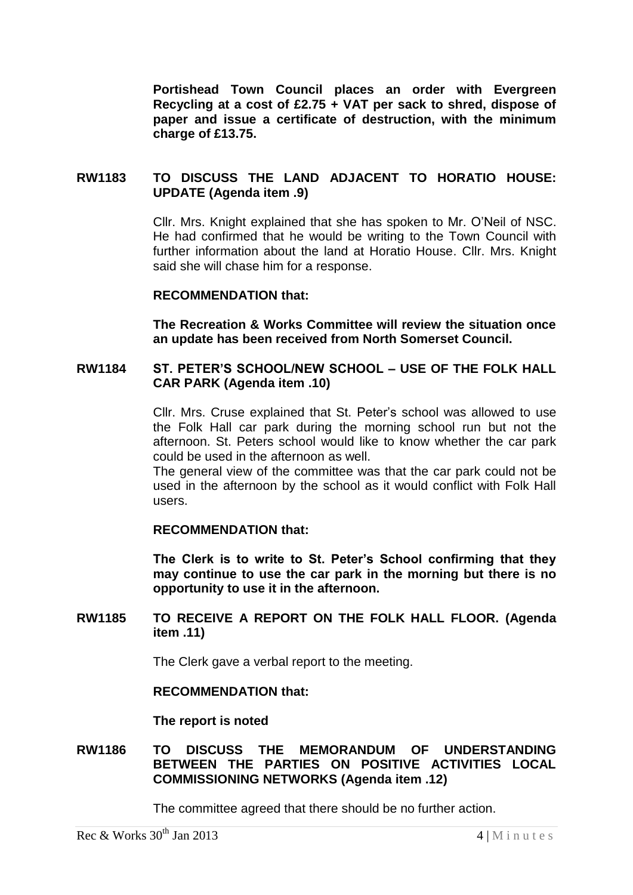**Portishead Town Council places an order with Evergreen Recycling at a cost of £2.75 + VAT per sack to shred, dispose of paper and issue a certificate of destruction, with the minimum charge of £13.75.**

## **RW1183 TO DISCUSS THE LAND ADJACENT TO HORATIO HOUSE: UPDATE (Agenda item .9)**

Cllr. Mrs. Knight explained that she has spoken to Mr. O'Neil of NSC. He had confirmed that he would be writing to the Town Council with further information about the land at Horatio House. Cllr. Mrs. Knight said she will chase him for a response.

#### **RECOMMENDATION that:**

**The Recreation & Works Committee will review the situation once an update has been received from North Somerset Council.** 

# **RW1184 ST. PETER'S SCHOOL/NEW SCHOOL – USE OF THE FOLK HALL CAR PARK (Agenda item .10)**

Cllr. Mrs. Cruse explained that St. Peter's school was allowed to use the Folk Hall car park during the morning school run but not the afternoon. St. Peters school would like to know whether the car park could be used in the afternoon as well.

The general view of the committee was that the car park could not be used in the afternoon by the school as it would conflict with Folk Hall users.

### **RECOMMENDATION that:**

**The Clerk is to write to St. Peter's School confirming that they may continue to use the car park in the morning but there is no opportunity to use it in the afternoon.**

### **RW1185 TO RECEIVE A REPORT ON THE FOLK HALL FLOOR. (Agenda item .11)**

The Clerk gave a verbal report to the meeting.

#### **RECOMMENDATION that:**

**The report is noted**

### **RW1186 TO DISCUSS THE MEMORANDUM OF UNDERSTANDING BETWEEN THE PARTIES ON POSITIVE ACTIVITIES LOCAL COMMISSIONING NETWORKS (Agenda item .12)**

The committee agreed that there should be no further action.